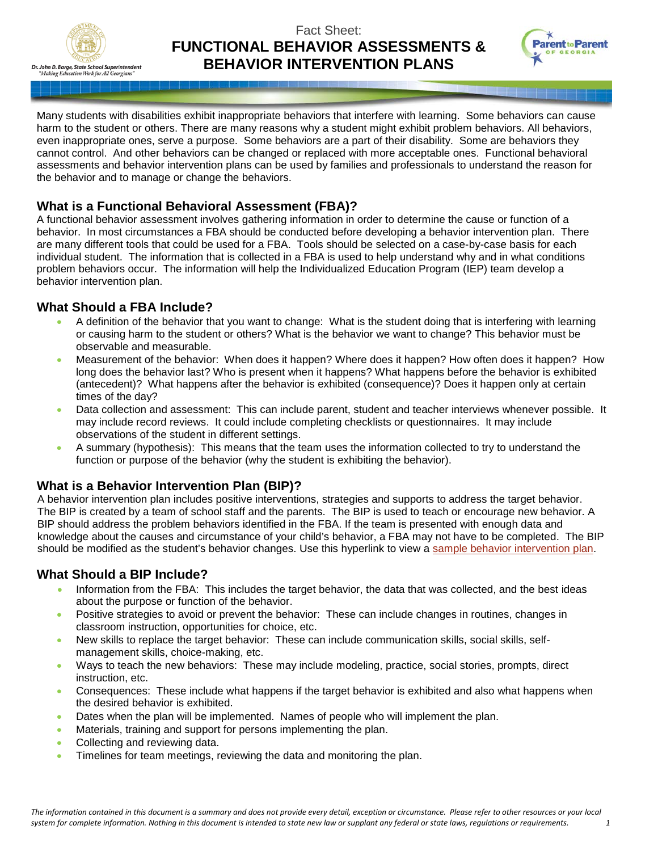

# Fact Sheet: **FUNCTIONAL BEHAVIOR ASSESSMENTS & BEHAVIOR INTERVENTION PLANS**



Many students with disabilities exhibit inappropriate behaviors that interfere with learning. Some behaviors can cause harm to the student or others. There are many reasons why a student might exhibit problem behaviors. All behaviors, even inappropriate ones, serve a purpose. Some behaviors are a part of their disability. Some are behaviors they cannot control. And other behaviors can be changed or replaced with more acceptable ones. Functional behavioral assessments and behavior intervention plans can be used by families and professionals to understand the reason for the behavior and to manage or change the behaviors.

## **What is a Functional Behavioral Assessment (FBA)?**

A functional behavior assessment involves gathering information in order to determine the cause or function of a behavior. In most circumstances a FBA should be conducted before developing a behavior intervention plan. There are many different tools that could be used for a FBA. Tools should be selected on a case-by-case basis for each individual student. The information that is collected in a FBA is used to help understand why and in what conditions problem behaviors occur. The information will help the Individualized Education Program (IEP) team develop a behavior intervention plan.

### **What Should a FBA Include?**

- A definition of the behavior that you want to change: What is the student doing that is interfering with learning or causing harm to the student or others? What is the behavior we want to change? This behavior must be observable and measurable.
- Measurement of the behavior: When does it happen? Where does it happen? How often does it happen? How long does the behavior last? Who is present when it happens? What happens before the behavior is exhibited (antecedent)? What happens after the behavior is exhibited (consequence)? Does it happen only at certain times of the day?
- Data collection and assessment: This can include parent, student and teacher interviews whenever possible. It may include record reviews. It could include completing checklists or questionnaires. It may include observations of the student in different settings.
- A summary (hypothesis): This means that the team uses the information collected to try to understand the function or purpose of the behavior (why the student is exhibiting the behavior).

### **What is a Behavior Intervention Plan (BIP)?**

A behavior intervention plan includes positive interventions, strategies and supports to address the target behavior. The BIP is created by a team of school staff and the parents. The BIP is used to teach or encourage new behavior. A BIP should address the problem behaviors identified in the FBA. If the team is presented with enough data and knowledge about the causes and circumstance of your child's behavior, a FBA may not have to be completed. The BIP should be modified as the student's behavior changes. Use this hyperlink to view a sample behavior intervention plan.

### **What Should a BIP Include?**

- Information from the FBA: This includes the target behavior, the data that was collected, and the best ideas about the purpose or function of the behavior.
- Positive strategies to avoid or prevent the behavior: These can include changes in routines, changes in classroom instruction, opportunities for choice, etc.
- New skills to replace the target behavior: These can include communication skills, social skills, selfmanagement skills, choice-making, etc.
- Ways to teach the new behaviors: These may include modeling, practice, social stories, prompts, direct instruction, etc.
- Consequences: These include what happens if the target behavior is exhibited and also what happens when the desired behavior is exhibited.
- Dates when the plan will be implemented. Names of people who will implement the plan.
- Materials, training and support for persons implementing the plan.
- Collecting and reviewing data.
- Timelines for team meetings, reviewing the data and monitoring the plan.